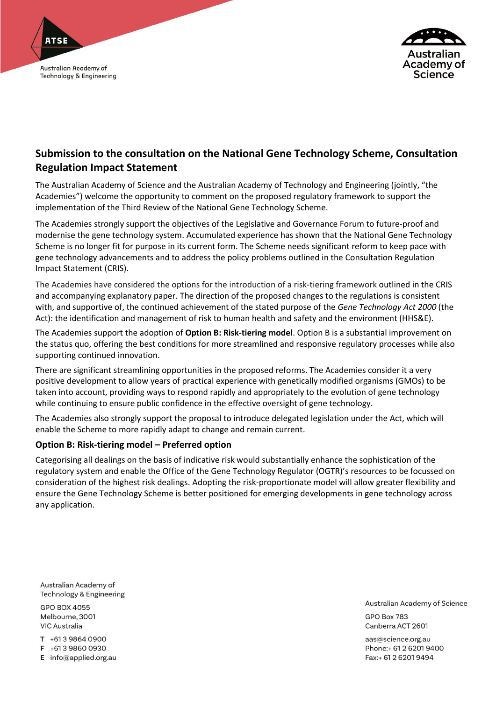



# **Submission to the consultation on the National Gene Technology Scheme, Consultation Regulation Impact Statement**

The Australian Academy of Science and the Australian Academy of Technology and Engineering (jointly, "the Academies") welcome the opportunity to comment on the proposed regulatory framework to support the implementation of the Third Review of the National Gene Technology Scheme.

The Academies strongly support the objectives of the Legislative and Governance Forum to future-proof and modernise the gene technology system. Accumulated experience has shown that the National Gene Technology Scheme is no longer fit for purpose in its current form. The Scheme needs significant reform to keep pace with gene technology advancements and to address the policy problems outlined in the Consultation Regulation Impact Statement (CRIS).

The Academies have considered the options for the introduction of a risk-tiering framework outlined in the CRIS and accompanying explanatory paper. The direction of the proposed changes to the regulations is consistent with, and supportive of, the continued achievement of the stated purpose of the *Gene Technology Act 2000* (the Act): the identification and management of risk to human health and safety and the environment (HHS&E).

The Academies support the adoption of **Option B: Risk-tiering model**. Option B is a substantial improvement on the status quo, offering the best conditions for more streamlined and responsive regulatory processes while also supporting continued innovation.

There are significant streamlining opportunities in the proposed reforms. The Academies consider it a very positive development to allow years of practical experience with genetically modified organisms (GMOs) to be taken into account, providing ways to respond rapidly and appropriately to the evolution of gene technology while continuing to ensure public confidence in the effective oversight of gene technology.

The Academies also strongly support the proposal to introduce delegated legislation under the Act, which will enable the Scheme to more rapidly adapt to change and remain current.

# **Option B: Risk-tiering model – Preferred option**

Categorising all dealings on the basis of indicative risk would substantially enhance the sophistication of the regulatory system and enable the Office of the Gene Technology Regulator (OGTR)'s resources to be focussed on consideration of the highest risk dealings. Adopting the risk-proportionate model will allow greater flexibility and ensure the Gene Technology Scheme is better positioned for emerging developments in gene technology across any application.

Australian Academy of Technology & Engineering

**GPO BOX 4055** Melbourne, 3001 **VIC Australia** 

T +613 9864 0900

F +613 9860 0930

E info@applied.org.au

Australian Academy of Science

GPO Box 783 Canberra ACT 2601

aas@science.org.au Phone: + 61 2 6201 9400 Fax:+ 61 2 6201 9494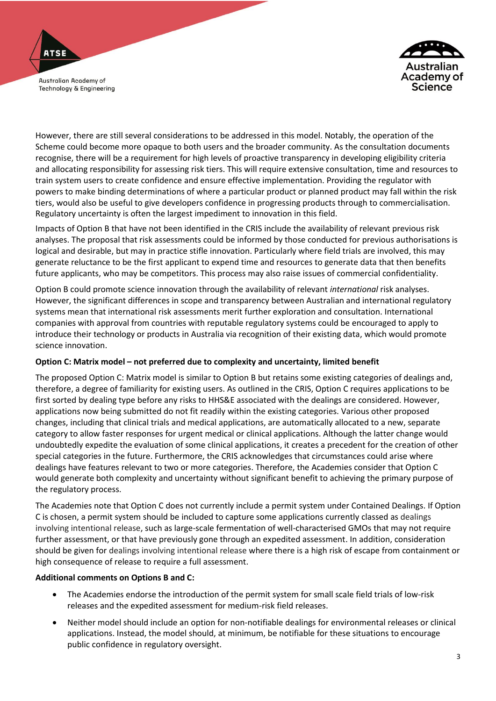

**ATSE** 



However, there are still several considerations to be addressed in this model. Notably, the operation of the Scheme could become more opaque to both users and the broader community. As the consultation documents recognise, there will be a requirement for high levels of proactive transparency in developing eligibility criteria and allocating responsibility for assessing risk tiers. This will require extensive consultation, time and resources to train system users to create confidence and ensure effective implementation. Providing the regulator with powers to make binding determinations of where a particular product or planned product may fall within the risk tiers, would also be useful to give developers confidence in progressing products through to commercialisation. Regulatory uncertainty is often the largest impediment to innovation in this field.

Impacts of Option B that have not been identified in the CRIS include the availability of relevant previous risk analyses. The proposal that risk assessments could be informed by those conducted for previous authorisations is logical and desirable, but may in practice stifle innovation. Particularly where field trials are involved, this may generate reluctance to be the first applicant to expend time and resources to generate data that then benefits future applicants, who may be competitors. This process may also raise issues of commercial confidentiality.

Option B could promote science innovation through the availability of relevant *international* risk analyses. However, the significant differences in scope and transparency between Australian and international regulatory systems mean that international risk assessments merit further exploration and consultation. International companies with approval from countries with reputable regulatory systems could be encouraged to apply to introduce their technology or products in Australia via recognition of their existing data, which would promote science innovation.

# **Option C: Matrix model – not preferred due to complexity and uncertainty, limited benefit**

The proposed Option C: Matrix model is similar to Option B but retains some existing categories of dealings and, therefore, a degree of familiarity for existing users. As outlined in the CRIS, Option C requires applications to be first sorted by dealing type before any risks to HHS&E associated with the dealings are considered. However, applications now being submitted do not fit readily within the existing categories. Various other proposed changes, including that clinical trials and medical applications, are automatically allocated to a new, separate category to allow faster responses for urgent medical or clinical applications. Although the latter change would undoubtedly expedite the evaluation of some clinical applications, it creates a precedent for the creation of other special categories in the future. Furthermore, the CRIS acknowledges that circumstances could arise where dealings have features relevant to two or more categories. Therefore, the Academies consider that Option C would generate both complexity and uncertainty without significant benefit to achieving the primary purpose of the regulatory process.

The Academies note that Option C does not currently include a permit system under Contained Dealings. If Option C is chosen, a permit system should be included to capture some applications currently classed as dealings involving intentional release, such as large-scale fermentation of well-characterised GMOs that may not require further assessment, or that have previously gone through an expedited assessment. In addition, consideration should be given for dealings involving intentional release where there is a high risk of escape from containment or high consequence of release to require a full assessment.

# **Additional comments on Options B and C:**

- The Academies endorse the introduction of the permit system for small scale field trials of low-risk releases and the expedited assessment for medium-risk field releases.
- Neither model should include an option for non-notifiable dealings for environmental releases or clinical applications. Instead, the model should, at minimum, be notifiable for these situations to encourage public confidence in regulatory oversight.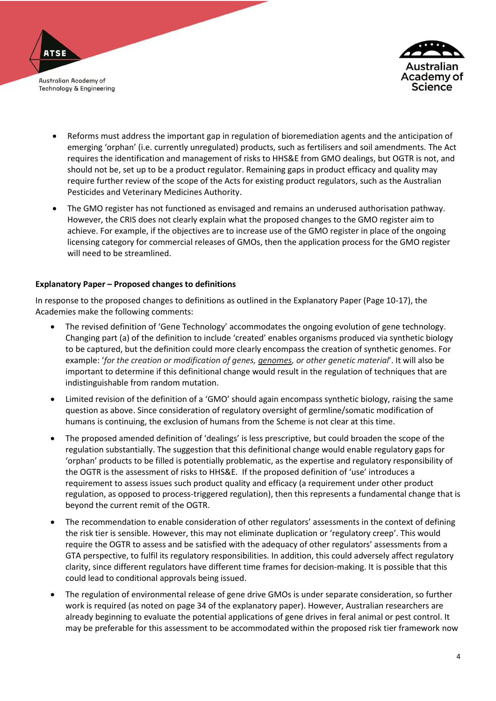



- Reforms must address the important gap in regulation of bioremediation agents and the anticipation of emerging 'orphan' (i.e. currently unregulated) products, such as fertilisers and soil amendments. The Act requires the identification and management of risks to HHS&E from GMO dealings, but OGTR is not, and should not be, set up to be a product regulator. Remaining gaps in product efficacy and quality may require further review of the scope of the Acts for existing product regulators, such as the Australian Pesticides and Veterinary Medicines Authority.
- The GMO register has not functioned as envisaged and remains an underused authorisation pathway. However, the CRIS does not clearly explain what the proposed changes to the GMO register aim to achieve. For example, if the objectives are to increase use of the GMO register in place of the ongoing licensing category for commercial releases of GMOs, then the application process for the GMO register will need to be streamlined.

#### **Explanatory Paper – Proposed changes to definitions**

In response to the proposed changes to definitions as outlined in the Explanatory Paper (Page 10-17), the Academies make the following comments:

- The revised definition of 'Gene Technology' accommodates the ongoing evolution of gene technology. Changing part (a) of the definition to include 'created' enables organisms produced via synthetic biology to be captured, but the definition could more clearly encompass the creation of synthetic genomes. For example: '*for the creation or modification of genes, genomes, or other genetic material*'. It will also be important to determine if this definitional change would result in the regulation of techniques that are indistinguishable from random mutation.
- Limited revision of the definition of a 'GMO' should again encompass synthetic biology, raising the same question as above. Since consideration of regulatory oversight of germline/somatic modification of humans is continuing, the exclusion of humans from the Scheme is not clear at this time.
- The proposed amended definition of 'dealings' is less prescriptive, but could broaden the scope of the regulation substantially. The suggestion that this definitional change would enable regulatory gaps for 'orphan' products to be filled is potentially problematic, as the expertise and regulatory responsibility of the OGTR is the assessment of risks to HHS&E. If the proposed definition of 'use' introduces a requirement to assess issues such product quality and efficacy (a requirement under other product regulation, as opposed to process-triggered regulation), then this represents a fundamental change that is beyond the current remit of the OGTR.
- The recommendation to enable consideration of other regulators' assessments in the context of defining the risk tier is sensible. However, this may not eliminate duplication or 'regulatory creep'. This would require the OGTR to assess and be satisfied with the adequacy of other regulators' assessments from a GTA perspective, to fulfil its regulatory responsibilities. In addition, this could adversely affect regulatory clarity, since different regulators have different time frames for decision-making. It is possible that this could lead to conditional approvals being issued.
- The regulation of environmental release of gene drive GMOs is under separate consideration, so further work is required (as noted on page 34 of the explanatory paper). However, Australian researchers are already beginning to evaluate the potential applications of gene drives in feral animal or pest control. It may be preferable for this assessment to be accommodated within the proposed risk tier framework now